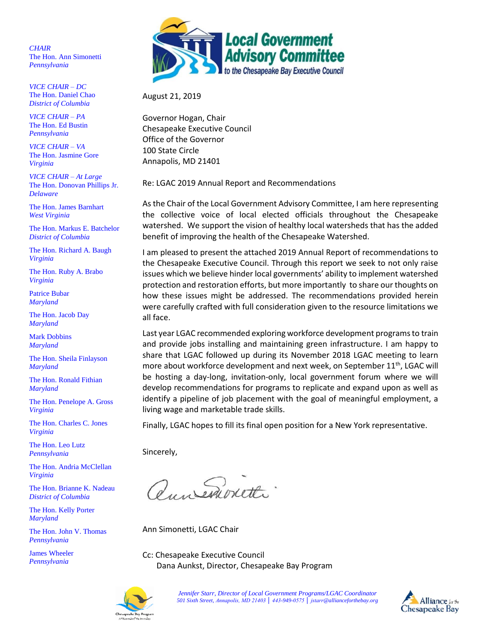*CHAIR* The Hon. Ann Simonetti *Pennsylvania*

*VICE CHAIR – DC* The Hon. Daniel Chao *District of Columbia* 

*VICE CHAIR – PA* The Hon. Ed Bustin *Pennsylvania*

*VICE CHAIR – VA* The Hon. Jasmine Gore *Virginia*

*VICE CHAIR – At Large* The Hon. Donovan Phillips Jr. *Delaware*

The Hon. James Barnhart *West Virginia*

The Hon. Markus E. Batchelor *District of Columbia* 

The Hon. Richard A. Baugh *Virginia*

The Hon. Ruby A. Brabo *Virginia*

Patrice Bubar *Maryland*

The Hon. Jacob Day *Maryland*

Mark Dobbins *Maryland*

The Hon. Sheila Finlayson *Maryland*

The Hon. Ronald Fithian *Maryland*

The Hon. Penelope A. Gross *Virginia*

The Hon. Charles C. Jones *Virginia*

The Hon. Leo Lutz *Pennsylvania*

The Hon. Andria McClellan *Virginia*

The Hon. Brianne K. Nadeau *District of Columbia* 

The Hon. Kelly Porter *Maryland*

The Hon. John V. Thomas *Pennsylvania*

James Wheeler *Pennsylvania* 



August 21, 2019

Governor Hogan, Chair Chesapeake Executive Council Office of the Governor 100 State Circle Annapolis, MD 21401

Re: LGAC 2019 Annual Report and Recommendations

As the Chair of the Local Government Advisory Committee, I am here representing the collective voice of local elected officials throughout the Chesapeake watershed. We support the vision of healthy local watersheds that has the added benefit of improving the health of the Chesapeake Watershed.

I am pleased to present the attached 2019 Annual Report of recommendations to the Chesapeake Executive Council. Through this report we seek to not only raise issues which we believe hinder local governments' ability to implement watershed protection and restoration efforts, but more importantly to share our thoughts on how these issues might be addressed. The recommendations provided herein were carefully crafted with full consideration given to the resource limitations we all face.

Last year LGAC recommended exploring workforce development programs to train and provide jobs installing and maintaining green infrastructure. I am happy to share that LGAC followed up during its November 2018 LGAC meeting to learn more about workforce development and next week, on September 11<sup>th</sup>, LGAC will be hosting a day-long, invitation-only, local government forum where we will develop recommendations for programs to replicate and expand upon as well as identify a pipeline of job placement with the goal of meaningful employment, a living wage and marketable trade skills.

Finally, LGAC hopes to fill its final open position for a New York representative.

Sincerely,

Quireawretter

Ann Simonetti, LGAC Chair

Cc: Chesapeake Executive Council Dana Aunkst, Director, Chesapeake Bay Program



*Jennifer Starr, Director of Local Government Programs/LGAC Coordinator 501 Sixth Street, Annapolis, MD 21403 │ 443-949-0575 │ jstarr@allianceforthebay.org*

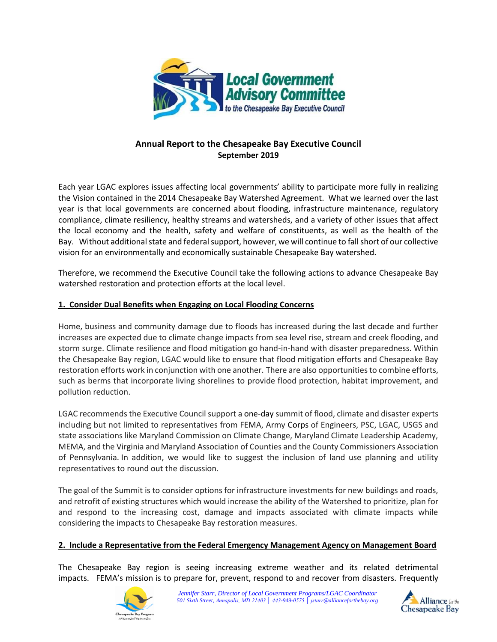

# **Annual Report to the Chesapeake Bay Executive Council September 2019**

Each year LGAC explores issues affecting local governments' ability to participate more fully in realizing the Vision contained in the 2014 Chesapeake Bay Watershed Agreement. What we learned over the last year is that local governments are concerned about flooding, infrastructure maintenance, regulatory compliance, climate resiliency, healthy streams and watersheds, and a variety of other issues that affect the local economy and the health, safety and welfare of constituents, as well as the health of the Bay. Without additional state and federal support, however, we will continue to fall short of our collective vision for an environmentally and economically sustainable Chesapeake Bay watershed.

Therefore, we recommend the Executive Council take the following actions to advance Chesapeake Bay watershed restoration and protection efforts at the local level.

### **1. Consider Dual Benefits when Engaging on Local Flooding Concerns**

Home, business and community damage due to floods has increased during the last decade and further increases are expected due to climate change impacts from sea level rise, stream and creek flooding, and storm surge. Climate resilience and flood mitigation go hand-in-hand with disaster preparedness. Within the Chesapeake Bay region, LGAC would like to ensure that flood mitigation efforts and Chesapeake Bay restoration efforts work in conjunction with one another. There are also opportunities to combine efforts, such as berms that incorporate living shorelines to provide flood protection, habitat improvement, and pollution reduction.

LGAC recommends the Executive Council support a one-day summit of flood, climate and disaster experts including but not limited to representatives from FEMA, Army Corps of Engineers, PSC, LGAC, USGS and state associations like Maryland Commission on Climate Change, Maryland Climate Leadership Academy, MEMA, and the Virginia and Maryland Association of Counties and the County Commissioners Association of Pennsylvania. In addition, we would like to suggest the inclusion of land use planning and utility representatives to round out the discussion.

The goal of the Summit is to consider options for infrastructure investments for new buildings and roads, and retrofit of existing structures which would increase the ability of the Watershed to prioritize, plan for and respond to the increasing cost, damage and impacts associated with climate impacts while considering the impacts to Chesapeake Bay restoration measures.

#### **2. Include a Representative from the Federal Emergency Management Agency on Management Board**

The Chesapeake Bay region is seeing increasing extreme weather and its related detrimental impacts. FEMA's mission is to prepare for, prevent, respond to and recover from disasters. Frequently